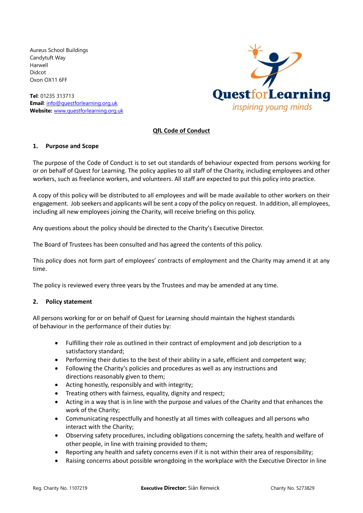Aureus School Buildings Candytuft Way Harwell Didcot Oxon OX11 6FF

**Tel**: 01235 313713 **Email**: [info@questforlearning.org.uk](mailto:info@questforlearning.org.uk) **Website:** [www.questforlearning.org.uk](http://www.questforlearning.org.uk/)



## **QfL Code of Conduct**

## **1. Purpose and Scope**

The purpose of the Code of Conduct is to set out standards of behaviour expected from persons working for or on behalf of Quest for Learning. The policy applies to all staff of the Charity, including employees and other workers, such as freelance workers, and volunteers. All staff are expected to put this policy into practice.

A copy of this policy will be distributed to all employees and will be made available to other workers on their engagement. Job seekers and applicants will be sent a copy of the policy on request. In addition, all employees, including all new employees joining the Charity, will receive briefing on this policy.

Any questions about the policy should be directed to the Charity's Executive Director.

The Board of Trustees has been consulted and has agreed the contents of this policy.

This policy does not form part of employees' contracts of employment and the Charity may amend it at any time.

The policy is reviewed every three years by the Trustees and may be amended at any time.

## **2. Policy statement**

All persons working for or on behalf of Quest for Learning should maintain the highest standards of behaviour in the performance of their duties by:

- Fulfilling their role as outlined in their contract of employment and job description to a satisfactory standard;
- Performing their duties to the best of their ability in a safe, efficient and competent way;
- Following the Charity's policies and procedures as well as any instructions and directions reasonably given to them;
- Acting honestly, responsibly and with integrity:
- Treating others with fairness, equality, dignity and respect;
- Acting in a way that is in line with the purpose and values of the Charity and that enhances the work of the Charity;
- Communicating respectfully and honestly at all times with colleagues and all persons who interact with the Charity;
- Observing safety procedures, including obligations concerning the safety, health and welfare of other people, in line with training provided to them;
- Reporting any health and safety concerns even if it is not within their area of responsibility;
- Raising concerns about possible wrongdoing in the workplace with the Executive Director in line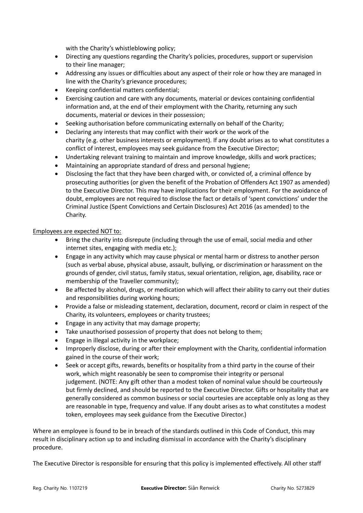with the Charity's whistleblowing policy;

- Directing any questions regarding the Charity's policies, procedures, support or supervision to their line manager;
- Addressing any issues or difficulties about any aspect of their role or how they are managed in line with the Charity's grievance procedures;
- Keeping confidential matters confidential;
- Exercising caution and care with any documents, material or devices containing confidential information and, at the end of their employment with the Charity, returning any such documents, material or devices in their possession;
- Seeking authorisation before communicating externally on behalf of the Charity;
- Declaring any interests that may conflict with their work or the work of the charity (e.g. other business interests or employment). If any doubt arises as to what constitutes a conflict of interest, employees may seek guidance from the Executive Director;
- Undertaking relevant training to maintain and improve knowledge, skills and work practices;
- Maintaining an appropriate standard of dress and personal hygiene;
- Disclosing the fact that they have been charged with, or convicted of, a criminal offence by prosecuting authorities (or given the benefit of the Probation of Offenders Act 1907 as amended) to the Executive Director. This may have implications for their employment. For the avoidance of doubt, employees are not required to disclose the fact or details of 'spent convictions' under the Criminal Justice (Spent Convictions and Certain Disclosures) Act 2016 (as amended) to the Charity.

## Employees are expected NOT to:

- Bring the charity into disrepute (including through the use of email, social media and other internet sites, engaging with media etc.);
- Engage in any activity which may cause physical or mental harm or distress to another person (such as verbal abuse, physical abuse, assault, bullying, or discrimination or harassment on the grounds of gender, civil status, family status, sexual orientation, religion, age, disability, race or membership of the Traveller community);
- Be affected by alcohol, drugs, or medication which will affect their ability to carry out their duties and responsibilities during working hours;
- Provide a false or misleading statement, declaration, document, record or claim in respect of the Charity, its volunteers, employees or charity trustees;
- Engage in any activity that may damage property;
- Take unauthorised possession of property that does not belong to them;
- Engage in illegal activity in the workplace;
- Improperly disclose, during or after their employment with the Charity, confidential information gained in the course of their work;
- Seek or accept gifts, rewards, benefits or hospitality from a third party in the course of their work, which might reasonably be seen to compromise their integrity or personal judgement. (NOTE: Any gift other than a modest token of nominal value should be courteously but firmly declined, and should be reported to the Executive Director. Gifts or hospitality that are generally considered as common business or social courtesies are acceptable only as long as they are reasonable in type, frequency and value. If any doubt arises as to what constitutes a modest token, employees may seek guidance from the Executive Director.)

Where an employee is found to be in breach of the standards outlined in this Code of Conduct, this may result in disciplinary action up to and including dismissal in accordance with the Charity's disciplinary procedure.

The Executive Director is responsible for ensuring that this policy is implemented effectively. All other staff